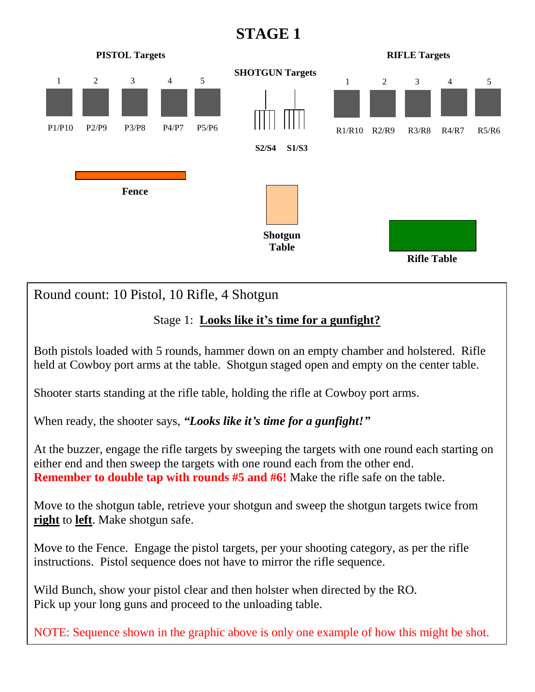## **STAGE 1**



Round count: 10 Pistol, 10 Rifle, 4 Shotgun

## Stage 1: **Looks like it's time for a gunfight?**

Both pistols loaded with 5 rounds, hammer down on an empty chamber and holstered. Rifle held at Cowboy port arms at the table. Shotgun staged open and empty on the center table.

Shooter starts standing at the rifle table, holding the rifle at Cowboy port arms.

When ready, the shooter says, *"Looks like it's time for a gunfight!"*

At the buzzer, engage the rifle targets by sweeping the targets with one round each starting on either end and then sweep the targets with one round each from the other end. **Remember to double tap with rounds #5 and #6!** Make the rifle safe on the table.

Move to the shotgun table, retrieve your shotgun and sweep the shotgun targets twice from **right** to **left**. Make shotgun safe.

Move to the Fence. Engage the pistol targets, per your shooting category, as per the rifle instructions. Pistol sequence does not have to mirror the rifle sequence.

Wild Bunch, show your pistol clear and then holster when directed by the RO. Pick up your long guns and proceed to the unloading table.

NOTE: Sequence shown in the graphic above is only one example of how this might be shot.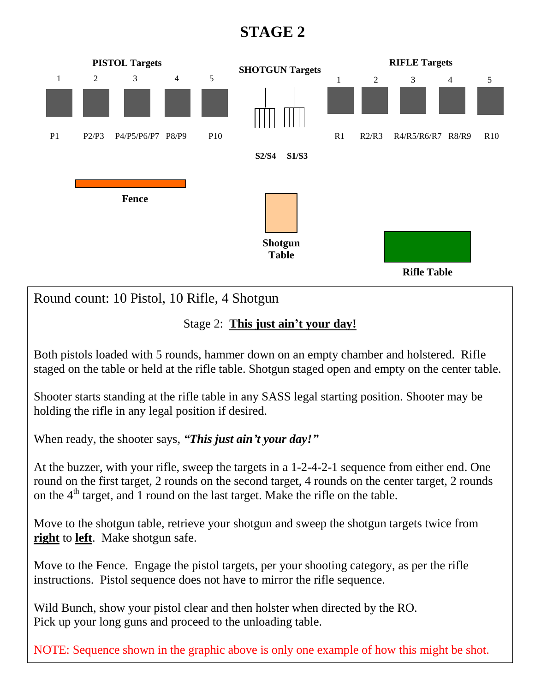## **STAGE 2**



Stage 2: **This just ain't your day!**

Both pistols loaded with 5 rounds, hammer down on an empty chamber and holstered. Rifle staged on the table or held at the rifle table. Shotgun staged open and empty on the center table.

Shooter starts standing at the rifle table in any SASS legal starting position. Shooter may be holding the rifle in any legal position if desired.

When ready, the shooter says, *"This just ain't your day!"*

At the buzzer, with your rifle, sweep the targets in a 1-2-4-2-1 sequence from either end. One round on the first target, 2 rounds on the second target, 4 rounds on the center target, 2 rounds on the  $4<sup>th</sup>$  target, and 1 round on the last target. Make the rifle on the table.

Move to the shotgun table, retrieve your shotgun and sweep the shotgun targets twice from **right** to **left**. Make shotgun safe.

Move to the Fence. Engage the pistol targets, per your shooting category, as per the rifle instructions. Pistol sequence does not have to mirror the rifle sequence.

Wild Bunch, show your pistol clear and then holster when directed by the RO. Pick up your long guns and proceed to the unloading table.

NOTE: Sequence shown in the graphic above is only one example of how this might be shot.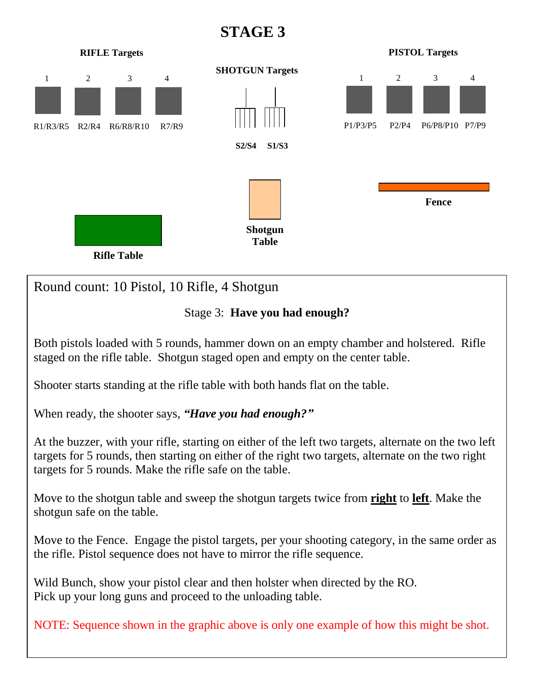